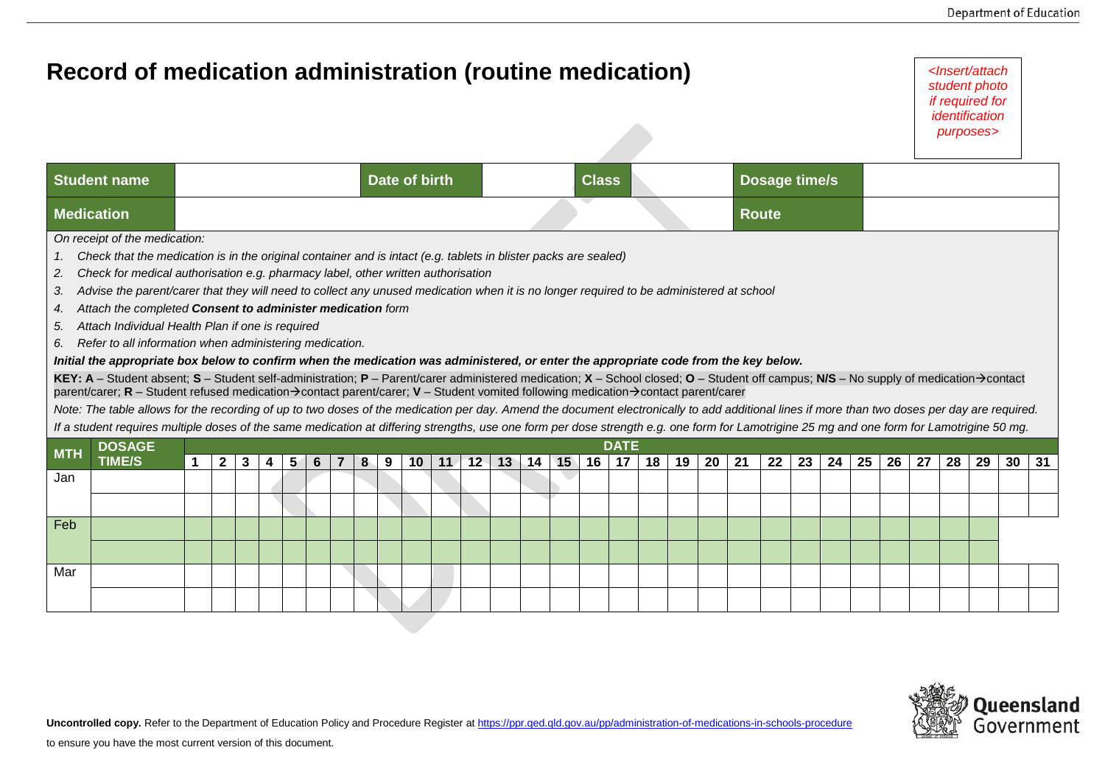|                                  | Record of medication administration (routine medication)                                                                                                                                                                                                                                                                                                                                                                                                                                                                                                                                                                                                                                                                                                                                                                                                                                                                                                                                                                                                                                                                                                                                                                                                                                                                                                                                                     |  |              |   |   |   |                               |  |   |   |    |    |    |    |    |    | <lnsert attach<br="">student photo<br/>if required for<br/>identification<br/>purposes&gt;</lnsert> |                   |               |    |    |    |    |    |    |    |    |    |    |    |    |    |
|----------------------------------|--------------------------------------------------------------------------------------------------------------------------------------------------------------------------------------------------------------------------------------------------------------------------------------------------------------------------------------------------------------------------------------------------------------------------------------------------------------------------------------------------------------------------------------------------------------------------------------------------------------------------------------------------------------------------------------------------------------------------------------------------------------------------------------------------------------------------------------------------------------------------------------------------------------------------------------------------------------------------------------------------------------------------------------------------------------------------------------------------------------------------------------------------------------------------------------------------------------------------------------------------------------------------------------------------------------------------------------------------------------------------------------------------------------|--|--------------|---|---|---|-------------------------------|--|---|---|----|----|----|----|----|----|-----------------------------------------------------------------------------------------------------|-------------------|---------------|----|----|----|----|----|----|----|----|----|----|----|----|----|
| <b>Student name</b>              |                                                                                                                                                                                                                                                                                                                                                                                                                                                                                                                                                                                                                                                                                                                                                                                                                                                                                                                                                                                                                                                                                                                                                                                                                                                                                                                                                                                                              |  |              |   |   |   | Date of birth<br><b>Class</b> |  |   |   |    |    |    |    |    |    |                                                                                                     |                   | Dosage time/s |    |    |    |    |    |    |    |    |    |    |    |    |    |
| <b>Medication</b>                |                                                                                                                                                                                                                                                                                                                                                                                                                                                                                                                                                                                                                                                                                                                                                                                                                                                                                                                                                                                                                                                                                                                                                                                                                                                                                                                                                                                                              |  |              |   |   |   | <b>Route</b>                  |  |   |   |    |    |    |    |    |    |                                                                                                     |                   |               |    |    |    |    |    |    |    |    |    |    |    |    |    |
| 1.<br>2.<br>3.<br>4.<br>5.<br>6. | Check that the medication is in the original container and is intact (e.g. tablets in blister packs are sealed)<br>Check for medical authorisation e.g. pharmacy label, other written authorisation<br>Advise the parent/carer that they will need to collect any unused medication when it is no longer required to be administered at school<br>Attach the completed Consent to administer medication form<br>Attach Individual Health Plan if one is required<br>Refer to all information when administering medication.<br>Initial the appropriate box below to confirm when the medication was administered, or enter the appropriate code from the key below.<br>KEY: A - Student absent; S - Student self-administration; P - Parent/carer administered medication; X - School closed; O - Student off campus; N/S - No supply of medication $\rightarrow$ contact<br>parent/carer; R – Student refused medication→contact parent/carer; V – Student vomited following medication→contact parent/carer<br>Note: The table allows for the recording of up to two doses of the medication per day. Amend the document electronically to add additional lines if more than two doses per day are required.<br>If a student requires multiple doses of the same medication at differing strengths, use one form per dose strength e.g. one form for Lamotrigine 25 mg and one form for Lamotrigine 50 mg. |  |              |   |   |   |                               |  |   |   |    |    |    |    |    |    |                                                                                                     |                   |               |    |    |    |    |    |    |    |    |    |    |    |    |    |
| <b>MTH</b>                       | <b>DOSAGE</b><br><b>TIME/S</b>                                                                                                                                                                                                                                                                                                                                                                                                                                                                                                                                                                                                                                                                                                                                                                                                                                                                                                                                                                                                                                                                                                                                                                                                                                                                                                                                                                               |  | $\mathbf{2}$ | 3 | 4 | 5 | 6                             |  | 8 | 9 | 10 | 11 | 12 | 13 | 14 | 15 | 16                                                                                                  | <b>DATE</b><br>17 | 18            | 19 | 20 | 21 | 22 | 23 | 24 | 25 | 26 | 27 | 28 | 29 | 30 | 31 |
| Jan                              |                                                                                                                                                                                                                                                                                                                                                                                                                                                                                                                                                                                                                                                                                                                                                                                                                                                                                                                                                                                                                                                                                                                                                                                                                                                                                                                                                                                                              |  |              |   |   |   |                               |  |   |   |    |    |    |    |    |    |                                                                                                     |                   |               |    |    |    |    |    |    |    |    |    |    |    |    |    |
|                                  |                                                                                                                                                                                                                                                                                                                                                                                                                                                                                                                                                                                                                                                                                                                                                                                                                                                                                                                                                                                                                                                                                                                                                                                                                                                                                                                                                                                                              |  |              |   |   |   |                               |  |   |   |    |    |    |    |    |    |                                                                                                     |                   |               |    |    |    |    |    |    |    |    |    |    |    |    |    |
| Feb                              |                                                                                                                                                                                                                                                                                                                                                                                                                                                                                                                                                                                                                                                                                                                                                                                                                                                                                                                                                                                                                                                                                                                                                                                                                                                                                                                                                                                                              |  |              |   |   |   |                               |  |   |   |    |    |    |    |    |    |                                                                                                     |                   |               |    |    |    |    |    |    |    |    |    |    |    |    |    |
|                                  |                                                                                                                                                                                                                                                                                                                                                                                                                                                                                                                                                                                                                                                                                                                                                                                                                                                                                                                                                                                                                                                                                                                                                                                                                                                                                                                                                                                                              |  |              |   |   |   |                               |  |   |   |    |    |    |    |    |    |                                                                                                     |                   |               |    |    |    |    |    |    |    |    |    |    |    |    |    |
| Mar                              |                                                                                                                                                                                                                                                                                                                                                                                                                                                                                                                                                                                                                                                                                                                                                                                                                                                                                                                                                                                                                                                                                                                                                                                                                                                                                                                                                                                                              |  |              |   |   |   |                               |  |   |   |    |    |    |    |    |    |                                                                                                     |                   |               |    |    |    |    |    |    |    |    |    |    |    |    |    |
|                                  |                                                                                                                                                                                                                                                                                                                                                                                                                                                                                                                                                                                                                                                                                                                                                                                                                                                                                                                                                                                                                                                                                                                                                                                                                                                                                                                                                                                                              |  |              |   |   |   |                               |  |   |   |    |    |    |    |    |    |                                                                                                     |                   |               |    |    |    |    |    |    |    |    |    |    |    |    |    |



Uncontrolled copy. Refer to the Department of Education Policy and Procedure Register at<https://ppr.qed.qld.gov.au/pp/administration-of-medications-in-schools-procedure>